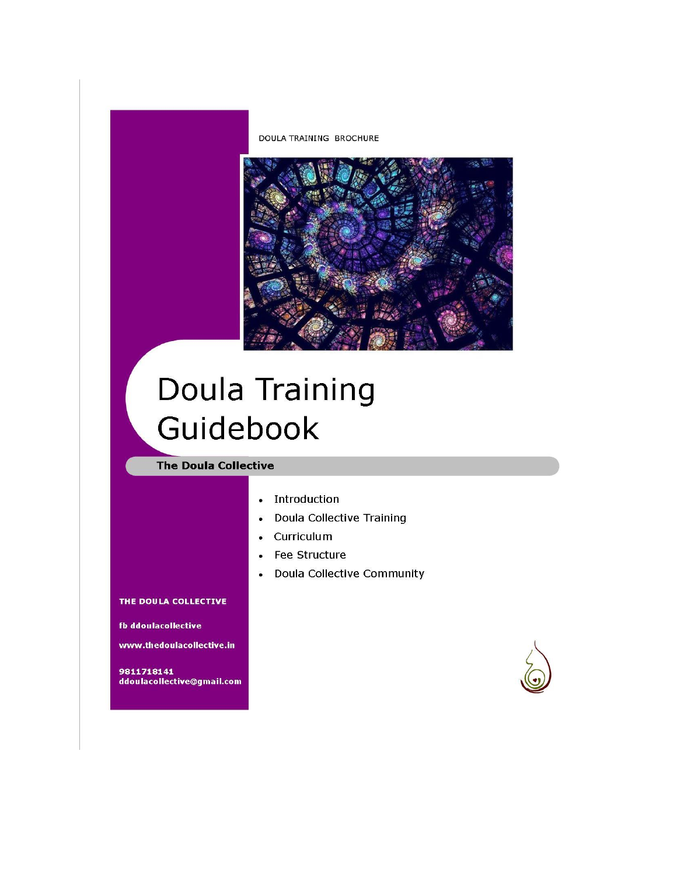



# Doula Training Guidebook

# **The Doula Collective**

- Introduction
- **Doula Collective Training**  $\bullet$
- Curriculum  $\bullet$
- Fee Structure  $\bullet$
- **Doula Collective Community**  $\bullet$

#### THE DOULA COLLECTIVE

fb ddoulacollective

www.thedoulacollective.in

9811718141 ddoulacollective@gmail.com

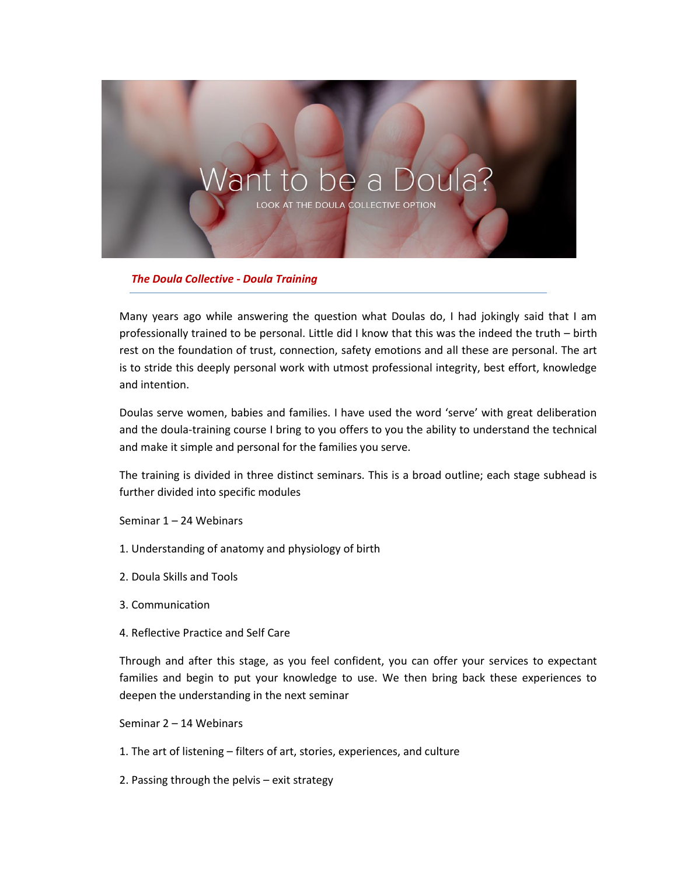

*The Doula Collective - Doula Training*

Many years ago while answering the question what Doulas do, I had jokingly said that I am professionally trained to be personal. Little did I know that this was the indeed the truth – birth rest on the foundation of trust, connection, safety emotions and all these are personal. The art is to stride this deeply personal work with utmost professional integrity, best effort, knowledge and intention.

Doulas serve women, babies and families. I have used the word 'serve' with great deliberation and the doula-training course I bring to you offers to you the ability to understand the technical and make it simple and personal for the families you serve.

The training is divided in three distinct seminars. This is a broad outline; each stage subhead is further divided into specific modules

Seminar 1 – 24 Webinars

- 1. Understanding of anatomy and physiology of birth
- 2. Doula Skills and Tools
- 3. Communication
- 4. Reflective Practice and Self Care

Through and after this stage, as you feel confident, you can offer your services to expectant families and begin to put your knowledge to use. We then bring back these experiences to deepen the understanding in the next seminar

Seminar 2 – 14 Webinars

1. The art of listening – filters of art, stories, experiences, and culture

2. Passing through the pelvis – exit strategy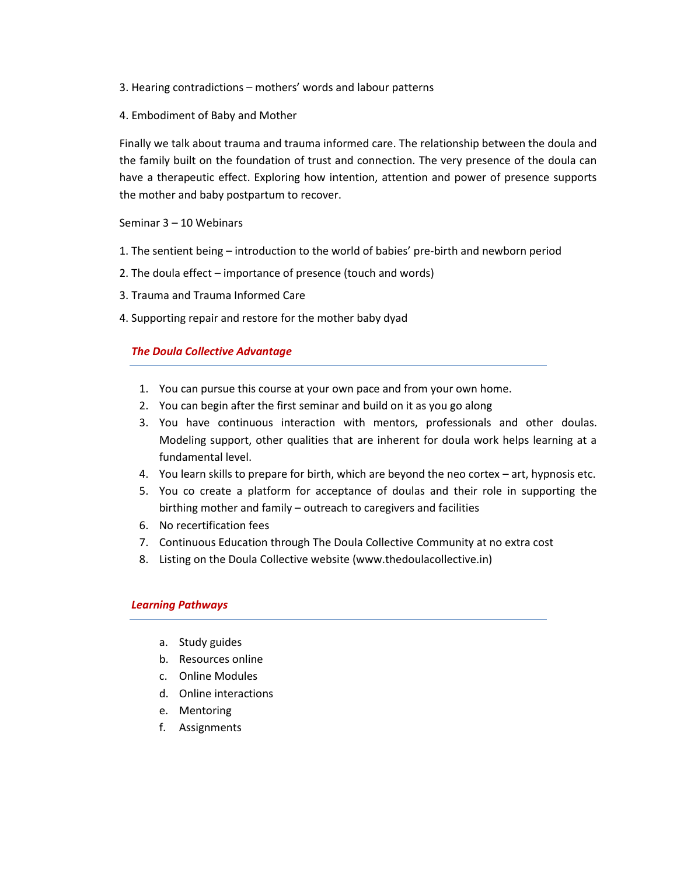- 3. Hearing contradictions mothers' words and labour patterns
- 4. Embodiment of Baby and Mother

Finally we talk about trauma and trauma informed care. The relationship between the doula and the family built on the foundation of trust and connection. The very presence of the doula can have a therapeutic effect. Exploring how intention, attention and power of presence supports the mother and baby postpartum to recover.

Seminar 3 – 10 Webinars

- 1. The sentient being introduction to the world of babies' pre-birth and newborn period
- 2. The doula effect importance of presence (touch and words)
- 3. Trauma and Trauma Informed Care
- 4. Supporting repair and restore for the mother baby dyad

#### *The Doula Collective Advantage*

- 1. You can pursue this course at your own pace and from your own home.
- 2. You can begin after the first seminar and build on it as you go along
- 3. You have continuous interaction with mentors, professionals and other doulas. Modeling support, other qualities that are inherent for doula work helps learning at a fundamental level.
- 4. You learn skills to prepare for birth, which are beyond the neo cortex art, hypnosis etc.
- 5. You co create a platform for acceptance of doulas and their role in supporting the birthing mother and family – outreach to caregivers and facilities
- 6. No recertification fees
- 7. Continuous Education through The Doula Collective Community at no extra cost
- 8. Listing on the Doula Collective website (www.thedoulacollective.in)

#### *Learning Pathways*

- a. Study guides
- b. Resources online
- c. Online Modules
- d. Online interactions
- e. Mentoring
- f. Assignments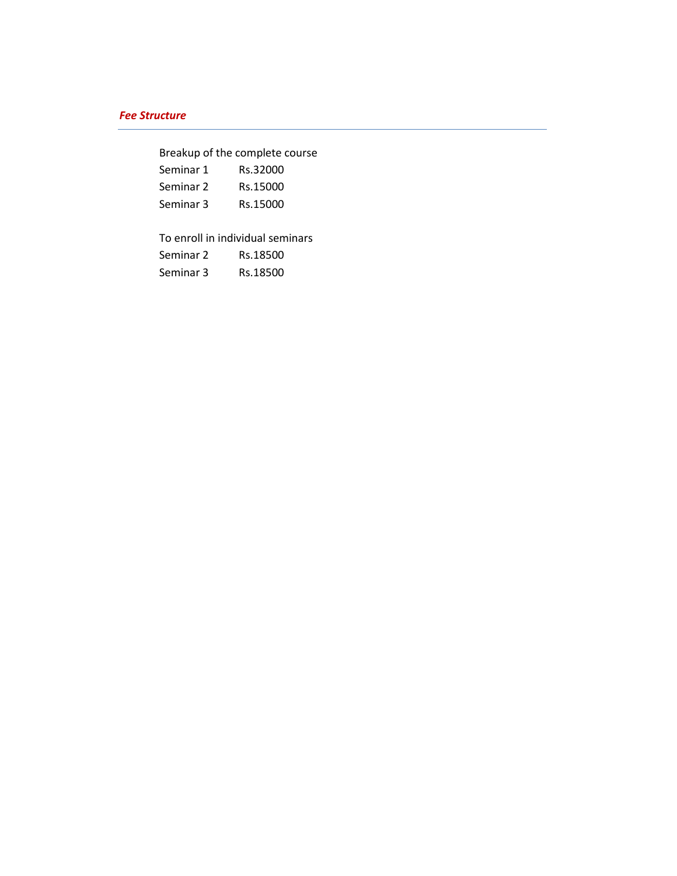# *Fee Structure*

Breakup of the complete course

| Seminar 1 | Rs.32000 |
|-----------|----------|
| Seminar 2 | Rs.15000 |
| Seminar 3 | Rs.15000 |

To enroll in individual seminars

| Seminar 2 | Rs.18500 |
|-----------|----------|
| Seminar 3 | Rs.18500 |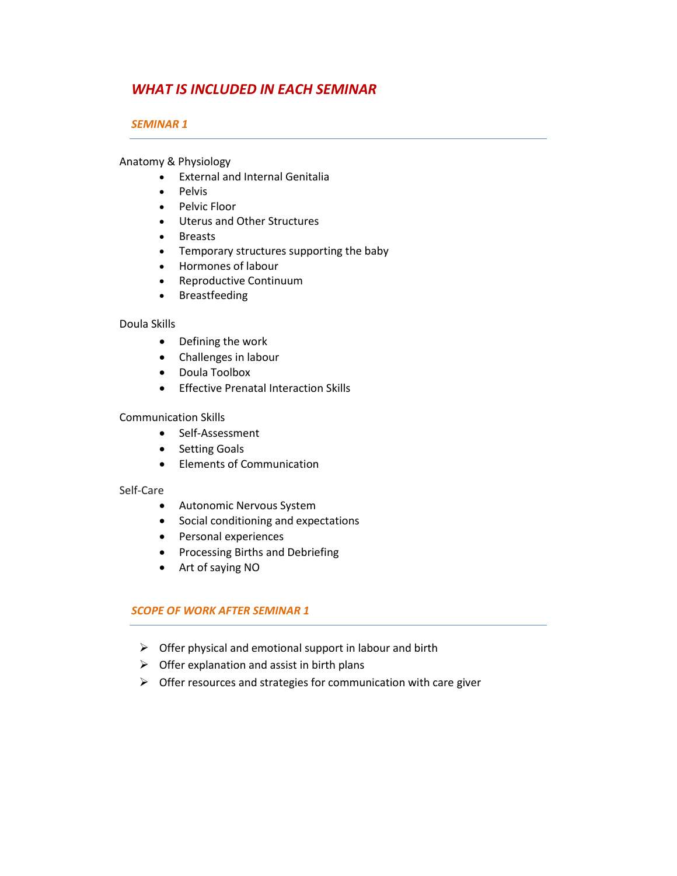# *WHAT IS INCLUDED IN EACH SEMINAR*

# *SEMINAR 1*

Anatomy & Physiology

- External and Internal Genitalia
- Pelvis
- Pelvic Floor
- Uterus and Other Structures
- Breasts
- Temporary structures supporting the baby
- Hormones of labour
- Reproductive Continuum
- Breastfeeding

# Doula Skills

- Defining the work
- Challenges in labour
- Doula Toolbox
- **•** Effective Prenatal Interaction Skills

# Communication Skills

- Self-Assessment
- Setting Goals
- Elements of Communication

# Self-Care

- Autonomic Nervous System
- Social conditioning and expectations
- Personal experiences
- Processing Births and Debriefing
- Art of saying NO

# *SCOPE OF WORK AFTER SEMINAR 1*

- $\triangleright$  Offer physical and emotional support in labour and birth
- $\triangleright$  Offer explanation and assist in birth plans
- $\triangleright$  Offer resources and strategies for communication with care giver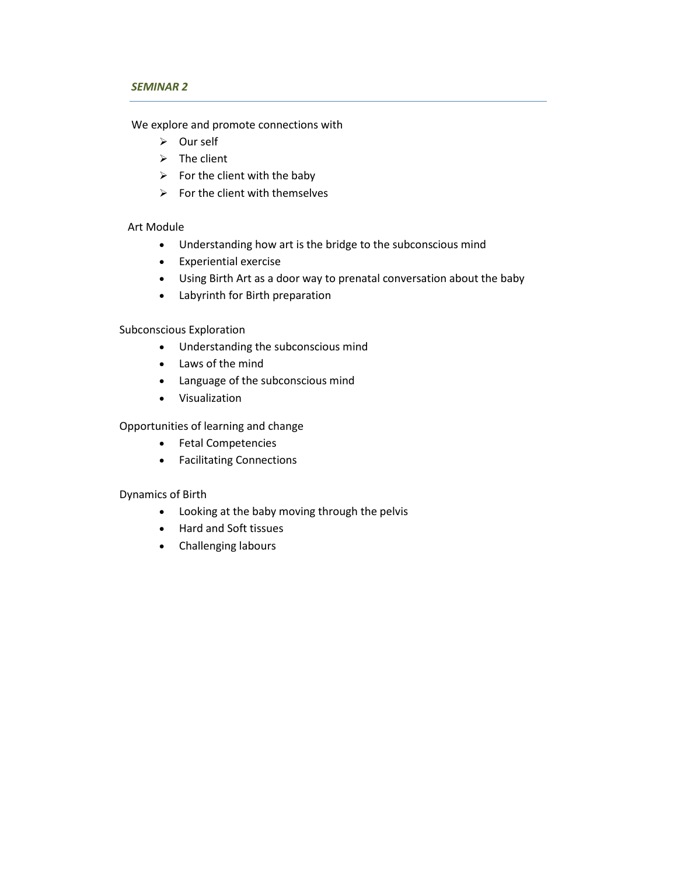#### *SEMINAR 2*

We explore and promote connections with

- Our self
- $\triangleright$  The client
- $\triangleright$  For the client with the baby
- $\triangleright$  For the client with themselves

# Art Module

- Understanding how art is the bridge to the subconscious mind
- Experiential exercise
- Using Birth Art as a door way to prenatal conversation about the baby
- Labyrinth for Birth preparation

# Subconscious Exploration

- Understanding the subconscious mind
- Laws of the mind
- Language of the subconscious mind
- Visualization

# Opportunities of learning and change

- Fetal Competencies
- Facilitating Connections

# Dynamics of Birth

- Looking at the baby moving through the pelvis
- Hard and Soft tissues
- Challenging labours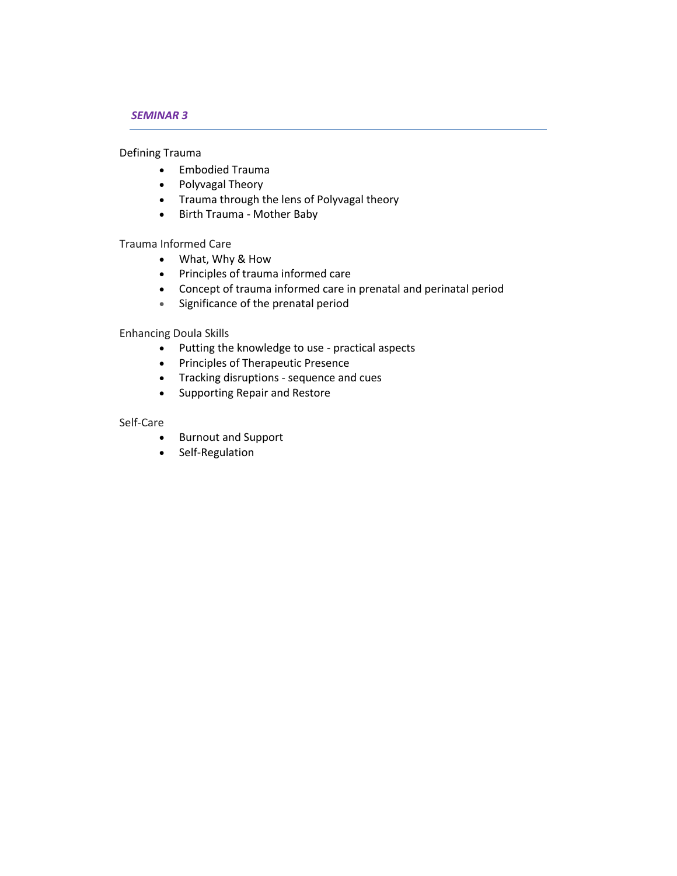# *SEMINAR 3*

Defining Trauma

- Embodied Trauma
- Polyvagal Theory
- Trauma through the lens of Polyvagal theory
- Birth Trauma Mother Baby

Trauma Informed Care

- What, Why & How
- Principles of trauma informed care
- Concept of trauma informed care in prenatal and perinatal period
- Significance of the prenatal period

Enhancing Doula Skills

- Putting the knowledge to use practical aspects
- Principles of Therapeutic Presence
- Tracking disruptions sequence and cues
- Supporting Repair and Restore

#### Self-Care

- Burnout and Support
- Self-Regulation